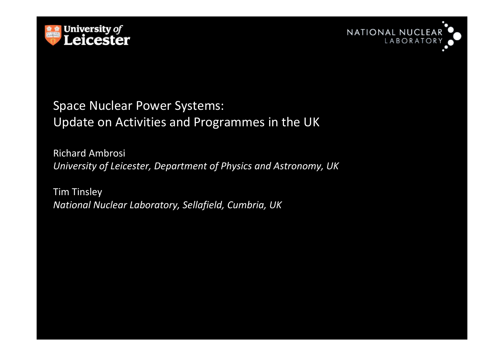



#### Space Nuclear Power Systems: Update on Activities and Programmes in the UK

Richard Ambrosi*University of Leicester, Department of Physics and Astronomy, UK*

Tim Tinsley*National Nuclear Laboratory, Sellafield, Cumbria, UK*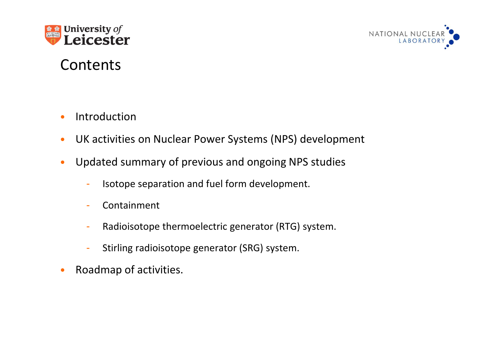



# Contents

- •Introduction
- $\bullet$ UK activities on Nuclear Power Systems (NPS) development
- $\bullet$  Updated summary of previous and ongoing NPS studies
	- Isotope separation and fuel form development.
	- -Containment
	- -Radioisotope thermoelectric generator (RTG) system.
	- -Stirling radioisotope generator (SRG) system.
- $\bullet$ Roadmap of activities.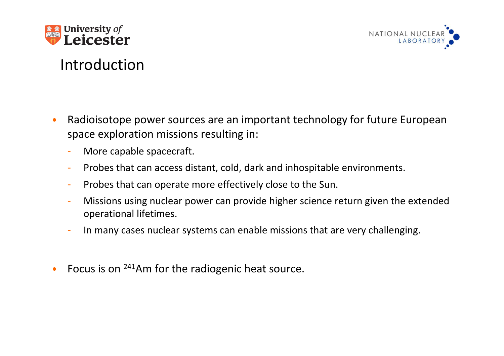



# Introduction

- • Radioisotope power sources are an important technology for future European space exploration missions resulting in:
	- More capable spacecraft.
	- Probes that can access distant, cold, dark and inhospitable environments.
	- Probes that can operate more effectively close to the Sun.
	- Missions using nuclear power can provide higher science return given the extended operational lifetimes.
	- In many cases nuclear systems can enable missions that are very challenging.
- $\bullet$ Focus is on <sup>241</sup>Am for the radiogenic heat source.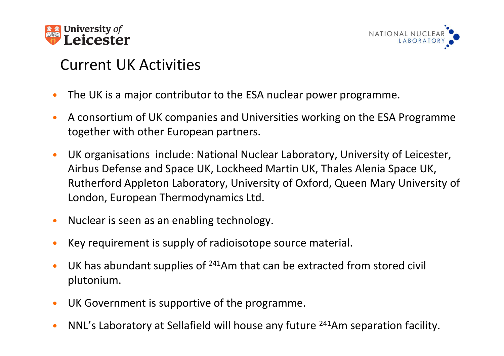



# Current UK Activities

- •The UK is a major contributor to the ESA nuclear power programme.
- • A consortium of UK companies and Universities working on the ESA Programme together with other European partners.
- $\bullet$  UK organisations include: National Nuclear Laboratory, University of Leicester, Airbus Defense and Space UK, Lockheed Martin UK, Thales Alenia Space UK, Rutherford Appleton Laboratory, University of Oxford, Queen Mary University of London, European Thermodynamics Ltd.
- •Nuclear is seen as an enabling technology.
- •Key requirement is supply of radioisotope source material.
- $\bullet$ UK has abundant supplies of  $241$ Am that can be extracted from stored civil plutonium.
- $\bullet$ UK Government is supportive of the programme.
- $\bullet$ NNL's Laboratory at Sellafield will house any future <sup>241</sup>Am separation facility.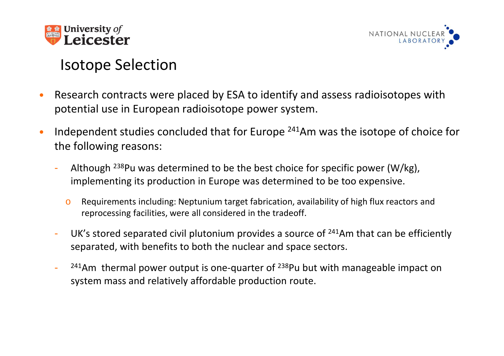



# Isotope Selection

- • Research contracts were placed by ESA to identify and assess radioisotopes with potential use in European radioisotope power system.
- • Independent studies concluded that for Europe <sup>241</sup>Am was the isotope of choice for the following reasons:
	- Although  $^{238}$ Pu was determined to be the best choice for specific power (W/kg), implementing its production in Europe was determined to be too expensive.
		- o Requirements including: Neptunium target fabrication, availability of high flux reactors and reprocessing facilities, were all considered in the tradeoff.
	- -UK's stored separated civil plutonium provides a source of  $241$ Am that can be efficiently separated, with benefits to both the nuclear and space sectors.
	- <sup>241</sup>Am thermal power output is one-quarter of <sup>238</sup>Pu but with manageable impact on system mass and relatively affordable production route.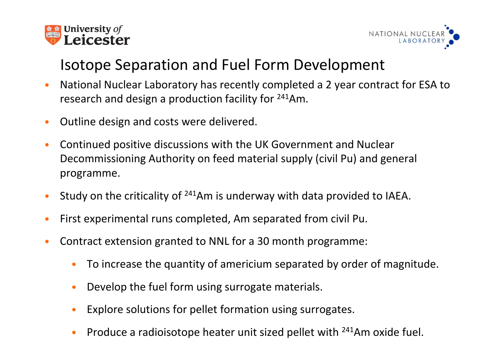



# Isotope Separation and Fuel Form Development

- • National Nuclear Laboratory has recently completed a 2 year contract for ESA to research and design a production facility for <sup>241</sup>Am.
- •Outline design and costs were delivered.
- • Continued positive discussions with the UK Government and Nuclear Decommissioning Authority on feed material supply (civil Pu) and general programme.
- •Study on the criticality of <sup>241</sup>Am is underway with data provided to IAEA.
- •First experimental runs completed, Am separated from civil Pu.
- $\bullet$  Contract extension granted to NNL for a 30 month programme:
	- •To increase the quantity of americium separated by order of magnitude.
	- •Develop the fuel form using surrogate materials.
	- •Explore solutions for pellet formation using surrogates.
- **•** Produce a radioisotope heater unit sized pellet with  $241$ Am oxide fuel.  $\bullet$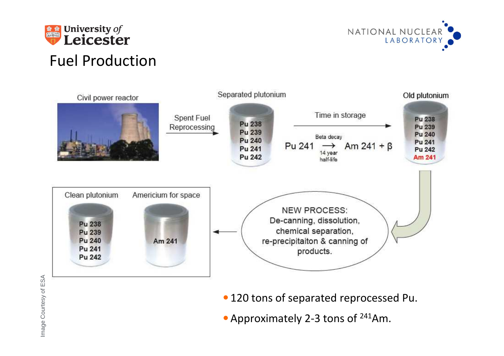



# Fuel Production



- Image Courtes and Court extends to Court and Court and Court extends to Court and Court and Court and Court and Court and Court and Court and Court and Court and Court and Court and Court and Court and Court and Court and
	-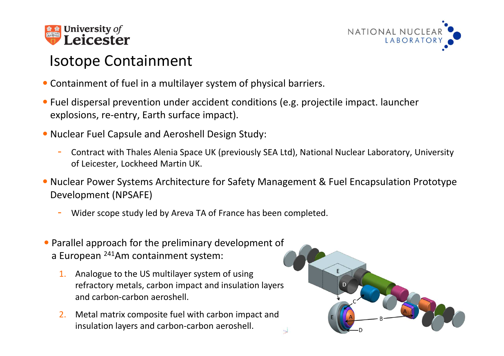



# Isotope Containment

- Containment of fuel in a multilayer system of physical barriers.
- Fuel dispersal prevention under accident conditions (e.g. projectile impact. launcher explosions, re-entry, Earth surface impact).
- Nuclear Fuel Capsule and Aeroshell Design Study:
	- Contract with Thales Alenia Space UK (previously SEA Ltd), National Nuclear Laboratory, University of Leicester, Lockheed Martin UK.
- Nuclear Power Systems Architecture for Safety Management & Fuel Encapsulation Prototype Development (NPSAFE)

 $\overline{\mathbf{y}}$ 

- Wider scope study led by Areva TA of France has been completed.
- Parallel approach for the preliminary development of a European <sup>241</sup>Am containment system:
	- 1. Analogue to the US multilayer system of using refractory metals, carbon impact and insulation layers and carbon-carbon aeroshell.
	- 2. Metal matrix composite fuel with carbon impact and insulation layers and carbon-carbon aeroshell.

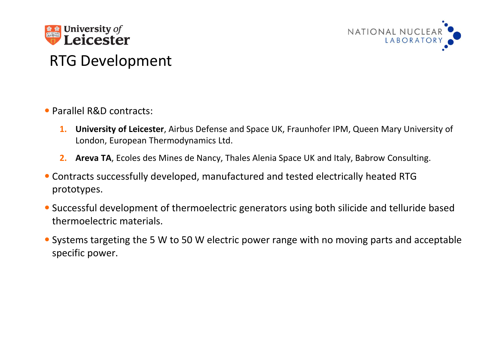



# RTG Development

- •Parallel R&D contracts:
	- **1. University of Leicester**, Airbus Defense and Space UK, Fraunhofer IPM, Queen Mary University of London, European Thermodynamics Ltd.
	- **2. Areva TA**, Ecoles des Mines de Nancy, Thales Alenia Space UK and Italy, Babrow Consulting.
- Contracts successfully developed, manufactured and tested electrically heated RTG prototypes.
- •Successful development of thermoelectric generators using both silicide and telluride based thermoelectric materials.
- Systems targeting the 5 W to 50 W electric power range with no moving parts and acceptable specific power.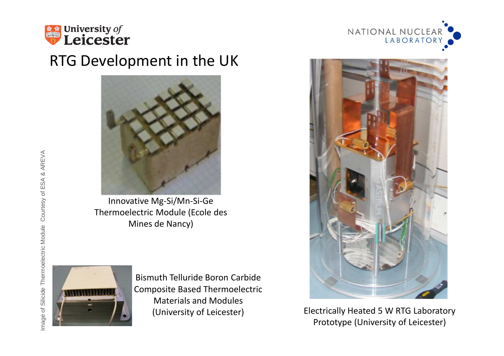

#### RTG Development in the UK



Innovative Mg-Si/Mn-Si-Ge Thermoelectric Module (Ecole des Mines de Nancy)



Bismuth Telluride Boron Carbide Composite Based Thermoelectric Materials and Modules (University of Leicester)





Electrically Heated 5 W RTG Laboratory Prototype (University of Leicester)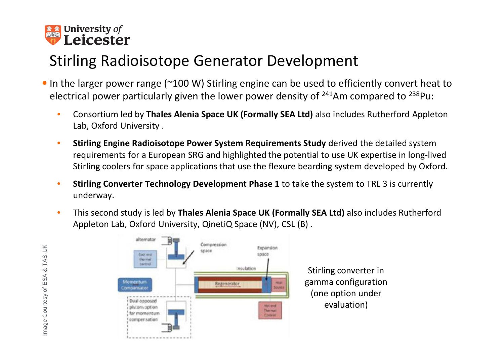

# Stirling Radioisotope Generator Development

- In the larger power range (~100 W) Stirling engine can be used to efficiently convert heat to electrical power particularly given the lower power density of  $241$ Am compared to  $238$ Pu:
	- • Consortium led by **Thales Alenia Space UK (Formally SEA Ltd)** also includes Rutherford Appleton Lab, Oxford University .
	- • **Stirling Engine Radioisotope Power System Requirements Study** derived the detailed system requirements for a European SRG and highlighted the potential to use UK expertise in long-lived Stirling coolers for space applications that use the flexure bearding system developed by Oxford.
	- • **Stirling Converter Technology Development Phase 1** to take the system to TRL 3 is currently underway.
	- • This second study is led by **Thales Alenia Space UK (Formally SEA Ltd)** also includes Rutherford Appleton Lab, Oxford University, QinetiQ Space (NV), CSL (B) .



Stirling converter in gamma configuration (one option under evaluation)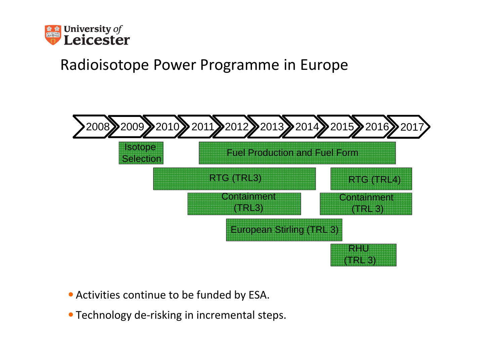

# Radioisotope Power Programme in Europe



- •Activities continue to be funded by ESA.
- •Technology de-risking in incremental steps.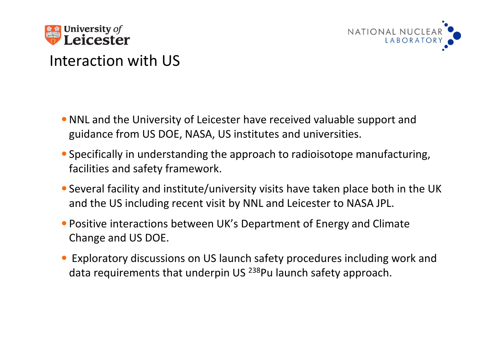



# Interaction with US

- NNL and the University of Leicester have received valuable support and guidance from US DOE, NASA, US institutes and universities.
- •Specifically in understanding the approach to radioisotope manufacturing, facilities and safety framework.
- •Several facility and institute/university visits have taken place both in the UK and the US including recent visit by NNL and Leicester to NASA JPL.
- Positive interactions between UK's Department of Energy and Climate Change and US DOE.
- Exploratory discussions on US launch safety procedures including work and data requirements that underpin US <sup>238</sup>Pu launch safety approach.